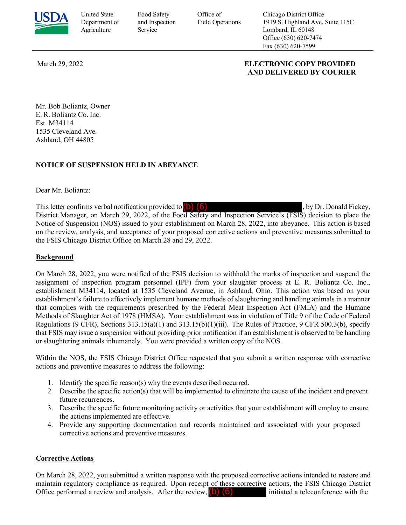

United State Food Safety Office of Chicago District Office Department of and Inspection Field Operations 1919 S. Highland Ave. Suite 115C Agriculture Service Service Lombard, IL 60148 Office (630) 620-7474 Fax (630) 620-7599

### March 29, 2022 **ELECTRONIC COPY PROVIDED AND DELIVERED BY COURIER**

 Mr. Bob Boliantz, Owner E. R. Boliantz Co. Inc. Ashland, OH 44805 Est. M34114 1535 Cleveland Ave.

# **NOTICE OF SUSPENSION HELD IN ABEYANCE**

Dear Mr. Boliantz:

This letter confirms verbal notification provided to (b) (6) District Manager, on March 29, 2022, of the Food Safety and Inspection Service's (FSIS) decision to place the Notice of Suspension (NOS) issued to your establishment on March 28, 2022, into abeyance. This action is based , by Dr. Donald Fickey, on the review, analysis, and acceptance of your proposed corrective actions and preventive measures submitted to the FSIS Chicago District Office on March 28 and 29, 2022.

## **Background**

 On March 28, 2022, you were notified of the FSIS decision to withhold the marks of inspection and suspend the assignment of inspection program personnel (IPP) from your slaughter process at E. R. Boliantz Co. Inc., establishment's failure to effectively implement humane methods of slaughtering and handling animals in a manner Methods of Slaughter Act of 1978 (HMSA). Your establishment was in violation of Title 9 of the Code of Federal that FSIS may issue a suspension without providing prior notification if an establishment is observed to be handling establishment M34114, located at 1535 Cleveland Avenue, in Ashland, Ohio. This action was based on your that complies with the requirements prescribed by the Federal Meat Inspection Act (FMIA) and the Humane Regulations (9 CFR), Sections 313.15(a)(1) and 313.15(b)(1)(iii). The Rules of Practice, 9 CFR 500.3(b), specify or slaughtering animals inhumanely. You were provided a written copy of the NOS.

Within the NOS, the FSIS Chicago District Office requested that you submit a written response with corrective actions and preventive measures to address the following:

- 1. Identify the specific reason(s) why the events described occurred.
- 2. Describe the specific action(s) that will be implemented to eliminate the cause of the incident and prevent future recurrences.
- 3. Describe the specific future monitoring activity or activities that your establishment will employ to ensure the actions implemented are effective.
- 4. Provide any supporting documentation and records maintained and associated with your proposed corrective actions and preventive measures.

## **Corrective Actions**

maintain regulatory compliance as required. Upon receipt of these corrective actions, the FSIS Chicago District Office performed a review and analysis. After the review,  $(b)$   $(6)$  initiated a teleconference with the On March 28, 2022, you submitted a written response with the proposed corrective actions intended to restore and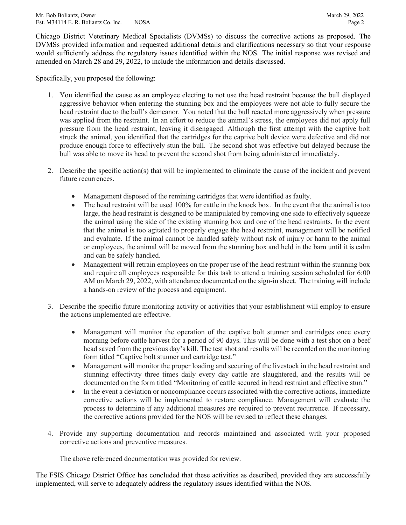DVMSs provided information and requested additional details and clarifications necessary so that your response amended on March 28 and 29, 2022, to include the information and details discussed. Chicago District Veterinary Medical Specialists (DVMSs) to discuss the corrective actions as proposed. The would sufficiently address the regulatory issues identified within the NOS. The initial response was revised and

Specifically, you proposed the following:

- aggressive behavior when entering the stunning box and the employees were not able to fully secure the head restraint due to the bull's demeanor. You noted that the bull reacted more aggressively when pressure was applied from the restraint. In an effort to reduce the animal's stress, the employees did not apply full produce enough force to effectively stun the bull. The second shot was effective but delayed because the 1. You identified the cause as an employee electing to not use the head restraint because the bull displayed pressure from the head restraint, leaving it disengaged. Although the first attempt with the captive bolt struck the animal, you identified that the cartridges for the captive bolt device were defective and did not bull was able to move its head to prevent the second shot from being administered immediately.
- 2. Describe the specific action(s) that will be implemented to eliminate the cause of the incident and prevent future recurrences.
	- Management disposed of the remining cartridges that were identified as faulty.
	- The head restraint will be used 100% for cattle in the knock box. In the event that the animal is too large, the head restraint is designed to be manipulated by removing one side to effectively squeeze the animal using the side of the existing stunning box and one of the head restraints. In the event that the animal is too agitated to properly engage the head restraint, management will be notified and evaluate. If the animal cannot be handled safely without risk of injury or harm to the animal or employees, the animal will be moved from the stunning box and held in the barn until it is calm and can be safely handled.
	- • Management will retrain employees on the proper use of the head restraint within the stunning box and require all employees responsible for this task to attend a training session scheduled for 6:00 AM on March 29, 2022, with attendance documented on the sign-in sheet. The training will include a hands-on review of the process and equipment.
- 3. Describe the specific future monitoring activity or activities that your establishment will employ to ensure the actions implemented are effective.
	- morning before cattle harvest for a period of 90 days. This will be done with a test shot on a beef head saved from the previous day's kill. The test shot and results will be recorded on the monitoring • Management will monitor the operation of the captive bolt stunner and cartridges once every form titled "Captive bolt stunner and cartridge test."
	- • Management will monitor the proper loading and securing of the livestock in the head restraint and stunning effectivity three times daily every day cattle are slaughtered, and the results will be documented on the form titled "Monitoring of cattle secured in head restraint and effective stun."
	- • In the event a deviation or noncompliance occurs associated with the corrective actions, immediate corrective actions will be implemented to restore compliance. Management will evaluate the process to determine if any additional measures are required to prevent recurrence. If necessary, the corrective actions provided for the NOS will be revised to reflect these changes.
- 4. Provide any supporting documentation and records maintained and associated with your proposed corrective actions and preventive measures.

The above referenced documentation was provided for review.

 implemented, will serve to adequately address the regulatory issues identified within the NOS. The FSIS Chicago District Office has concluded that these activities as described, provided they are successfully